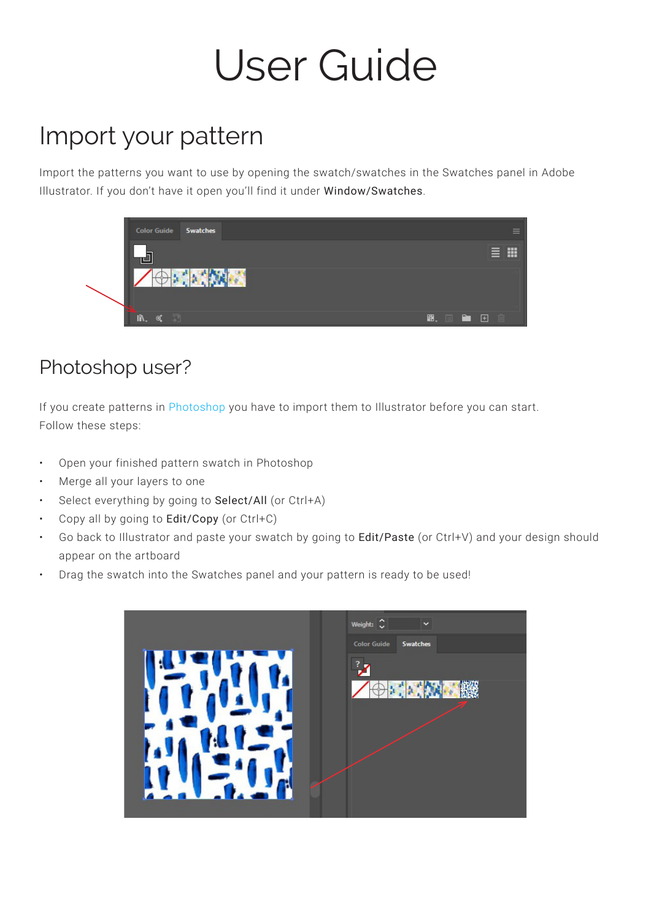# User Guide

# Import your pattern

Import the patterns you want to use by opening the swatch/swatches in the Swatches panel in Adobe Illustrator. If you don't have it open you'll find it under Window/Swatches.



#### Photoshop user?

If you create patterns in Photoshop you have to import them to Illustrator before you can start. Follow these steps:

- Open your finished pattern swatch in Photoshop
- Merge all your layers to one
- Select everything by going to Select/All (or Ctrl+A)
- Copy all by going to Edit/Copy (or Ctrl+C)
- Go back to Illustrator and paste your swatch by going to Edit/Paste (or Ctrl+V) and your design should appear on the artboard
- Drag the swatch into the Swatches panel and your pattern is ready to be used!

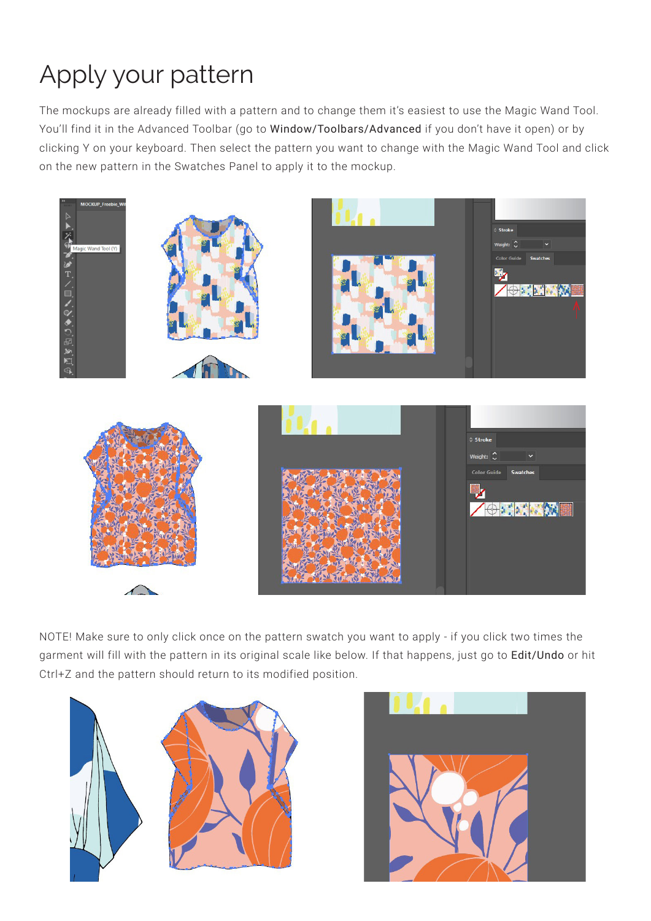# Apply your pattern

The mockups are already filled with a pattern and to change them it's easiest to use the Magic Wand Tool. You'll find it in the Advanced Toolbar (go to Window/Toolbars/Advanced if you don't have it open) or by clicking Y on your keyboard. Then select the pattern you want to change with the Magic Wand Tool and click on the new pattern in the Swatches Panel to apply it to the mockup.



NOTE! Make sure to only click once on the pattern swatch you want to apply - if you click two times the garment will fill with the pattern in its original scale like below. If that happens, just go to Edit/Undo or hit Ctrl+Z and the pattern should return to its modified position.